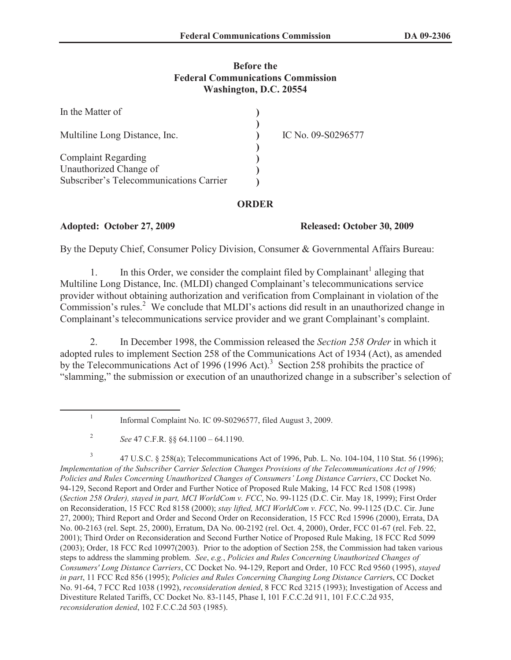## **Before the Federal Communications Commission Washington, D.C. 20554**

| In the Matter of                                     |                    |
|------------------------------------------------------|--------------------|
| Multiline Long Distance, Inc.                        | IC No. 09-S0296577 |
| <b>Complaint Regarding</b><br>Unauthorized Change of |                    |
| Subscriber's Telecommunications Carrier              |                    |

## **ORDER**

## **Adopted: October 27, 2009 Released: October 30, 2009**

By the Deputy Chief, Consumer Policy Division, Consumer & Governmental Affairs Bureau:

1. In this Order, we consider the complaint filed by Complainant<sup>1</sup> alleging that Multiline Long Distance, Inc. (MLDI) changed Complainant's telecommunications service provider without obtaining authorization and verification from Complainant in violation of the  $\overline{\text{Commission}}$ 's rules.<sup>2</sup> We conclude that MLDI's actions did result in an unauthorized change in Complainant's telecommunications service provider and we grant Complainant's complaint.

2. In December 1998, the Commission released the *Section 258 Order* in which it adopted rules to implement Section 258 of the Communications Act of 1934 (Act), as amended by the Telecommunications Act of 1996 (1996 Act).<sup>3</sup> Section 258 prohibits the practice of "slamming," the submission or execution of an unauthorized change in a subscriber's selection of

3 47 U.S.C. § 258(a); Telecommunications Act of 1996, Pub. L. No. 104-104, 110 Stat. 56 (1996); *Implementation of the Subscriber Carrier Selection Changes Provisions of the Telecommunications Act of 1996; Policies and Rules Concerning Unauthorized Changes of Consumers' Long Distance Carriers*, CC Docket No. 94-129, Second Report and Order and Further Notice of Proposed Rule Making, 14 FCC Rcd 1508 (1998) (*Section 258 Order), stayed in part, MCI WorldCom v. FCC*, No. 99-1125 (D.C. Cir. May 18, 1999); First Order on Reconsideration, 15 FCC Rcd 8158 (2000); *stay lifted, MCI WorldCom v. FCC*, No. 99-1125 (D.C. Cir. June 27, 2000); Third Report and Order and Second Order on Reconsideration, 15 FCC Rcd 15996 (2000), Errata, DA No. 00-2163 (rel. Sept. 25, 2000), Erratum, DA No. 00-2192 (rel. Oct. 4, 2000), Order, FCC 01-67 (rel. Feb. 22, 2001); Third Order on Reconsideration and Second Further Notice of Proposed Rule Making, 18 FCC Rcd 5099 (2003); Order, 18 FCC Rcd 10997(2003). Prior to the adoption of Section 258, the Commission had taken various steps to address the slamming problem. *See*, *e.g.*, *Policies and Rules Concerning Unauthorized Changes of Consumers' Long Distance Carriers*, CC Docket No. 94-129, Report and Order, 10 FCC Rcd 9560 (1995), *stayed in part*, 11 FCC Rcd 856 (1995); *Policies and Rules Concerning Changing Long Distance Carrier*s, CC Docket No. 91-64, 7 FCC Rcd 1038 (1992), *reconsideration denied*, 8 FCC Rcd 3215 (1993); Investigation of Access and Divestiture Related Tariffs, CC Docket No. 83-1145, Phase I, 101 F.C.C.2d 911, 101 F.C.C.2d 935, *reconsideration denied*, 102 F.C.C.2d 503 (1985).

<sup>1</sup> Informal Complaint No. IC 09-S0296577, filed August 3, 2009.

<sup>2</sup> *See* 47 C.F.R. §§ 64.1100 – 64.1190.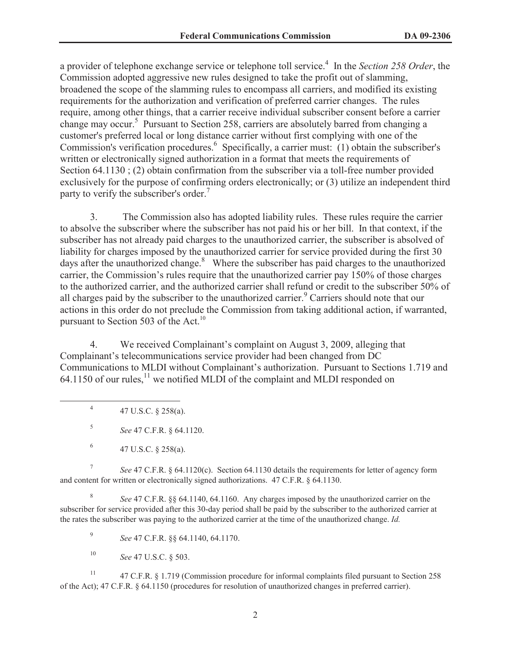a provider of telephone exchange service or telephone toll service.<sup>4</sup> In the *Section 258 Order*, the Commission adopted aggressive new rules designed to take the profit out of slamming, broadened the scope of the slamming rules to encompass all carriers, and modified its existing requirements for the authorization and verification of preferred carrier changes. The rules require, among other things, that a carrier receive individual subscriber consent before a carrier change may occur.<sup>5</sup> Pursuant to Section 258, carriers are absolutely barred from changing a customer's preferred local or long distance carrier without first complying with one of the Commission's verification procedures.<sup>6</sup> Specifically, a carrier must: (1) obtain the subscriber's written or electronically signed authorization in a format that meets the requirements of Section 64.1130 ; (2) obtain confirmation from the subscriber via a toll-free number provided exclusively for the purpose of confirming orders electronically; or (3) utilize an independent third party to verify the subscriber's order.<sup>7</sup>

3. The Commission also has adopted liability rules. These rules require the carrier to absolve the subscriber where the subscriber has not paid his or her bill. In that context, if the subscriber has not already paid charges to the unauthorized carrier, the subscriber is absolved of liability for charges imposed by the unauthorized carrier for service provided during the first 30 days after the unauthorized change. $8\text{ }$  Where the subscriber has paid charges to the unauthorized carrier, the Commission's rules require that the unauthorized carrier pay 150% of those charges to the authorized carrier, and the authorized carrier shall refund or credit to the subscriber 50% of all charges paid by the subscriber to the unauthorized carrier.<sup>9</sup> Carriers should note that our actions in this order do not preclude the Commission from taking additional action, if warranted, pursuant to Section 503 of the Act.<sup>10</sup>

4. We received Complainant's complaint on August 3, 2009, alleging that Complainant's telecommunications service provider had been changed from DC Communications to MLDI without Complainant's authorization. Pursuant to Sections 1.719 and 64.1150 of our rules,  $^{11}$  we notified MLDI of the complaint and MLDI responded on

4 47 U.S.C. § 258(a).

5 *See* 47 C.F.R. § 64.1120.

7 *See* 47 C.F.R. § 64.1120(c). Section 64.1130 details the requirements for letter of agency form and content for written or electronically signed authorizations. 47 C.F.R. § 64.1130.

8 *See* 47 C.F.R. §§ 64.1140, 64.1160. Any charges imposed by the unauthorized carrier on the subscriber for service provided after this 30-day period shall be paid by the subscriber to the authorized carrier at the rates the subscriber was paying to the authorized carrier at the time of the unauthorized change. *Id.*

9 *See* 47 C.F.R. §§ 64.1140, 64.1170.

<sup>10</sup> *See* 47 U.S.C. § 503.

<sup>11</sup> 47 C.F.R. § 1.719 (Commission procedure for informal complaints filed pursuant to Section 258 of the Act); 47 C.F.R. § 64.1150 (procedures for resolution of unauthorized changes in preferred carrier).

<sup>6</sup> 47 U.S.C. § 258(a).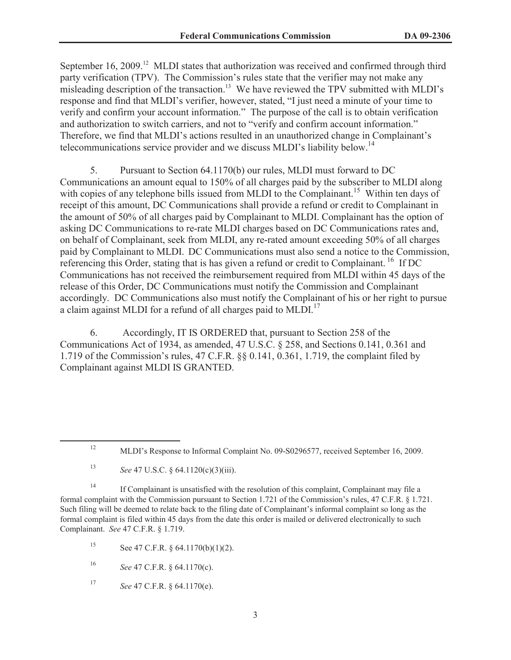September 16, 2009.<sup>12</sup> MLDI states that authorization was received and confirmed through third party verification (TPV). The Commission's rules state that the verifier may not make any misleading description of the transaction.<sup>13</sup> We have reviewed the TPV submitted with MLDI's response and find that MLDI's verifier, however, stated, "I just need a minute of your time to verify and confirm your account information." The purpose of the call is to obtain verification and authorization to switch carriers, and not to "verify and confirm account information." Therefore, we find that MLDI's actions resulted in an unauthorized change in Complainant's telecommunications service provider and we discuss MLDI's liability below.<sup>14</sup>

5. Pursuant to Section 64.1170(b) our rules, MLDI must forward to DC Communications an amount equal to 150% of all charges paid by the subscriber to MLDI along with copies of any telephone bills issued from MLDI to the Complainant.<sup>15</sup> Within ten days of receipt of this amount, DC Communications shall provide a refund or credit to Complainant in the amount of 50% of all charges paid by Complainant to MLDI. Complainant has the option of asking DC Communications to re-rate MLDI charges based on DC Communications rates and, on behalf of Complainant, seek from MLDI, any re-rated amount exceeding 50% of all charges paid by Complainant to MLDI. DC Communications must also send a notice to the Commission, referencing this Order, stating that is has given a refund or credit to Complainant.<sup>16</sup> If DC Communications has not received the reimbursement required from MLDI within 45 days of the release of this Order, DC Communications must notify the Commission and Complainant accordingly. DC Communications also must notify the Complainant of his or her right to pursue a claim against MLDI for a refund of all charges paid to MLDI.<sup>17</sup>

6. Accordingly, IT IS ORDERED that, pursuant to Section 258 of the Communications Act of 1934, as amended, 47 U.S.C. § 258, and Sections 0.141, 0.361 and 1.719 of the Commission's rules, 47 C.F.R. §§ 0.141, 0.361, 1.719, the complaint filed by Complainant against MLDI IS GRANTED.

<sup>13</sup> *See* 47 U.S.C. § 64.1120(c)(3)(iii).

<sup>14</sup> If Complainant is unsatisfied with the resolution of this complaint, Complainant may file a formal complaint with the Commission pursuant to Section 1.721 of the Commission's rules, 47 C.F.R. § 1.721. Such filing will be deemed to relate back to the filing date of Complainant's informal complaint so long as the formal complaint is filed within 45 days from the date this order is mailed or delivered electronically to such Complainant. *See* 47 C.F.R. § 1.719.

15 See 47 C.F.R.  $\S$  64.1170(b)(1)(2).

<sup>16</sup> *See* 47 C.F.R. § 64.1170(c).

<sup>17</sup> *See* 47 C.F.R. § 64.1170(e).

<sup>&</sup>lt;sup>12</sup> MLDI's Response to Informal Complaint No. 09-S0296577, received September 16, 2009.